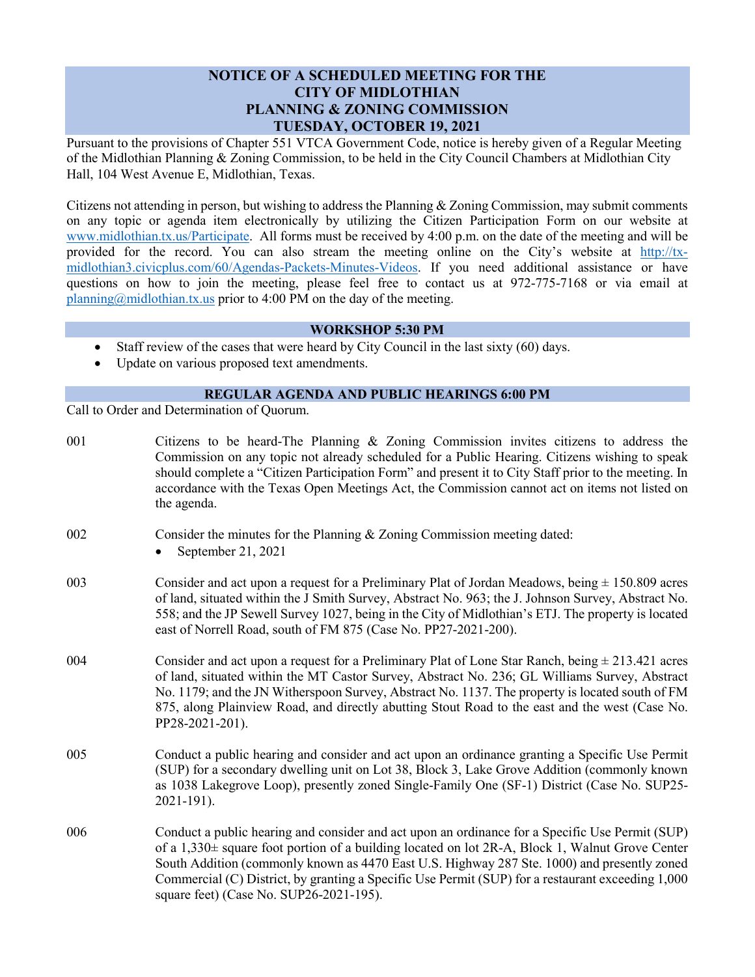## **NOTICE OF A SCHEDULED MEETING FOR THE CITY OF MIDLOTHIAN PLANNING & ZONING COMMISSION TUESDAY, OCTOBER 19, 2021**

Pursuant to the provisions of Chapter 551 VTCA Government Code, notice is hereby given of a Regular Meeting of the Midlothian Planning & Zoning Commission, to be held in the City Council Chambers at Midlothian City Hall, 104 West Avenue E, Midlothian, Texas.

Citizens not attending in person, but wishing to address the Planning & Zoning Commission, may submit comments on any topic or agenda item electronically by utilizing the Citizen Participation Form on our website at [www.midlothian.tx.us/Participate.](http://www.midlothian.tx.us/Participate) All forms must be received by 4:00 p.m. on the date of the meeting and will be provided for the record. You can also stream the meeting online on the City's website at [http://tx](http://tx-midlothian3.civicplus.com/60/Agendas-Packets-Minutes-Videos)[midlothian3.civicplus.com/60/Agendas-Packets-Minutes-Videos.](http://tx-midlothian3.civicplus.com/60/Agendas-Packets-Minutes-Videos) If you need additional assistance or have questions on how to join the meeting, please feel free to contact us at 972-775-7168 or via email at [planning@midlothian.tx.us](mailto:planning@midlothian.tx.us) prior to 4:00 PM on the day of the meeting.

## **WORKSHOP 5:30 PM**

- Staff review of the cases that were heard by City Council in the last sixty (60) days.
- Update on various proposed text amendments.

## **REGULAR AGENDA AND PUBLIC HEARINGS 6:00 PM**

Call to Order and Determination of Quorum.

| 001 | Citizens to be heard-The Planning & Zoning Commission invites citizens to address the<br>Commission on any topic not already scheduled for a Public Hearing. Citizens wishing to speak<br>should complete a "Citizen Participation Form" and present it to City Staff prior to the meeting. In<br>accordance with the Texas Open Meetings Act, the Commission cannot act on items not listed on<br>the agenda.                                    |
|-----|---------------------------------------------------------------------------------------------------------------------------------------------------------------------------------------------------------------------------------------------------------------------------------------------------------------------------------------------------------------------------------------------------------------------------------------------------|
| 002 | Consider the minutes for the Planning & Zoning Commission meeting dated:<br>September 21, 2021                                                                                                                                                                                                                                                                                                                                                    |
| 003 | Consider and act upon a request for a Preliminary Plat of Jordan Meadows, being $\pm$ 150.809 acres<br>of land, situated within the J Smith Survey, Abstract No. 963; the J. Johnson Survey, Abstract No.<br>558; and the JP Sewell Survey 1027, being in the City of Midlothian's ETJ. The property is located<br>east of Norrell Road, south of FM 875 (Case No. PP27-2021-200).                                                                |
| 004 | Consider and act upon a request for a Preliminary Plat of Lone Star Ranch, being $\pm$ 213.421 acres<br>of land, situated within the MT Castor Survey, Abstract No. 236; GL Williams Survey, Abstract<br>No. 1179; and the JN Witherspoon Survey, Abstract No. 1137. The property is located south of FM<br>875, along Plainview Road, and directly abutting Stout Road to the east and the west (Case No.<br>PP28-2021-201).                     |
| 005 | Conduct a public hearing and consider and act upon an ordinance granting a Specific Use Permit<br>(SUP) for a secondary dwelling unit on Lot 38, Block 3, Lake Grove Addition (commonly known<br>as 1038 Lakegrove Loop), presently zoned Single-Family One (SF-1) District (Case No. SUP25-<br>2021-191).                                                                                                                                        |
| 006 | Conduct a public hearing and consider and act upon an ordinance for a Specific Use Permit (SUP)<br>of a 1,330± square foot portion of a building located on lot 2R-A, Block 1, Walnut Grove Center<br>South Addition (commonly known as 4470 East U.S. Highway 287 Ste. 1000) and presently zoned<br>Commercial (C) District, by granting a Specific Use Permit (SUP) for a restaurant exceeding 1,000<br>square feet) (Case No. SUP26-2021-195). |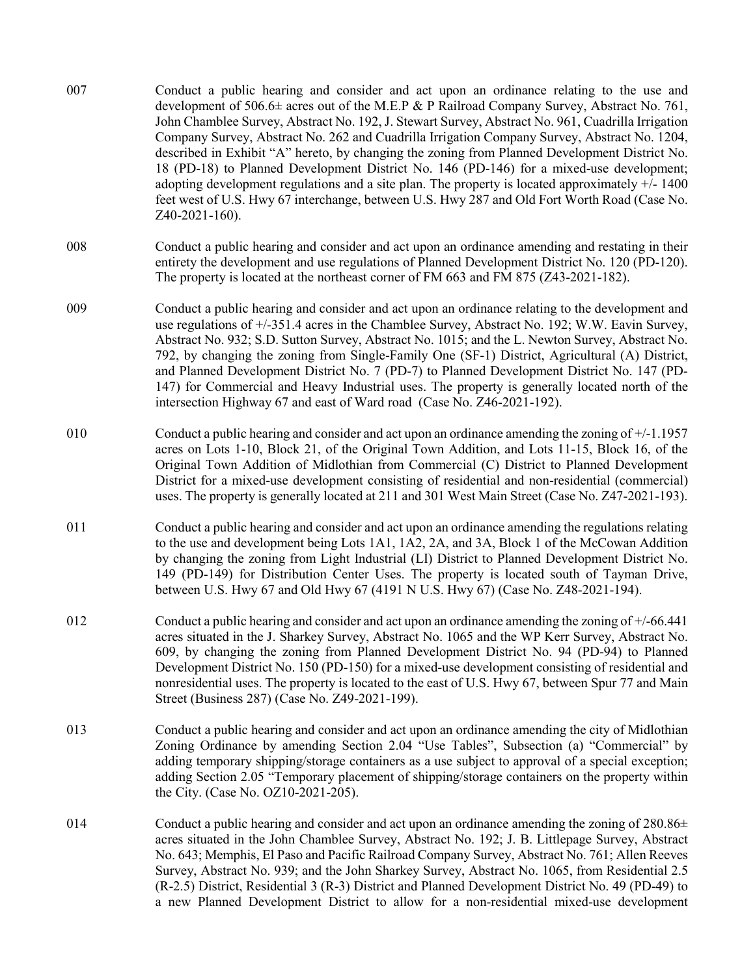- 007 Conduct a public hearing and consider and act upon an ordinance relating to the use and development of 506.6± acres out of the M.E.P & P Railroad Company Survey, Abstract No. 761, John Chamblee Survey, Abstract No. 192, J. Stewart Survey, Abstract No. 961, Cuadrilla Irrigation Company Survey, Abstract No. 262 and Cuadrilla Irrigation Company Survey, Abstract No. 1204, described in Exhibit "A" hereto, by changing the zoning from Planned Development District No. 18 (PD-18) to Planned Development District No. 146 (PD-146) for a mixed-use development; adopting development regulations and a site plan. The property is located approximately  $+/-1400$ feet west of U.S. Hwy 67 interchange, between U.S. Hwy 287 and Old Fort Worth Road (Case No. Z40-2021-160).
- 008 Conduct a public hearing and consider and act upon an ordinance amending and restating in their entirety the development and use regulations of Planned Development District No. 120 (PD-120). The property is located at the northeast corner of FM 663 and FM 875 (Z43-2021-182).
- 009 Conduct a public hearing and consider and act upon an ordinance relating to the development and use regulations of +/-351.4 acres in the Chamblee Survey, Abstract No. 192; W.W. Eavin Survey, Abstract No. 932; S.D. Sutton Survey, Abstract No. 1015; and the L. Newton Survey, Abstract No. 792, by changing the zoning from Single-Family One (SF-1) District, Agricultural (A) District, and Planned Development District No. 7 (PD-7) to Planned Development District No. 147 (PD-147) for Commercial and Heavy Industrial uses. The property is generally located north of the intersection Highway 67 and east of Ward road (Case No. Z46-2021-192).
- 010 Conduct a public hearing and consider and act upon an ordinance amending the zoning of +/-1.1957 acres on Lots 1-10, Block 21, of the Original Town Addition, and Lots 11-15, Block 16, of the Original Town Addition of Midlothian from Commercial (C) District to Planned Development District for a mixed-use development consisting of residential and non-residential (commercial) uses. The property is generally located at 211 and 301 West Main Street (Case No. Z47-2021-193).
- 011 Conduct a public hearing and consider and act upon an ordinance amending the regulations relating to the use and development being Lots 1A1, 1A2, 2A, and 3A, Block 1 of the McCowan Addition by changing the zoning from Light Industrial (LI) District to Planned Development District No. 149 (PD-149) for Distribution Center Uses. The property is located south of Tayman Drive, between U.S. Hwy 67 and Old Hwy 67 (4191 N U.S. Hwy 67) (Case No. Z48-2021-194).
- 012 Conduct a public hearing and consider and act upon an ordinance amending the zoning of +/-66.441 acres situated in the J. Sharkey Survey, Abstract No. 1065 and the WP Kerr Survey, Abstract No. 609, by changing the zoning from Planned Development District No. 94 (PD-94) to Planned Development District No. 150 (PD-150) for a mixed-use development consisting of residential and nonresidential uses. The property is located to the east of U.S. Hwy 67, between Spur 77 and Main Street (Business 287) (Case No. Z49-2021-199).
- 013 Conduct a public hearing and consider and act upon an ordinance amending the city of Midlothian Zoning Ordinance by amending Section 2.04 "Use Tables", Subsection (a) "Commercial" by adding temporary shipping/storage containers as a use subject to approval of a special exception; adding Section 2.05 "Temporary placement of shipping/storage containers on the property within the City. (Case No. OZ10-2021-205).
- 014 Conduct a public hearing and consider and act upon an ordinance amending the zoning of  $280.86\pm$ acres situated in the John Chamblee Survey, Abstract No. 192; J. B. Littlepage Survey, Abstract No. 643; Memphis, El Paso and Pacific Railroad Company Survey, Abstract No. 761; Allen Reeves Survey, Abstract No. 939; and the John Sharkey Survey, Abstract No. 1065, from Residential 2.5 (R-2.5) District, Residential 3 (R-3) District and Planned Development District No. 49 (PD-49) to a new Planned Development District to allow for a non-residential mixed-use development